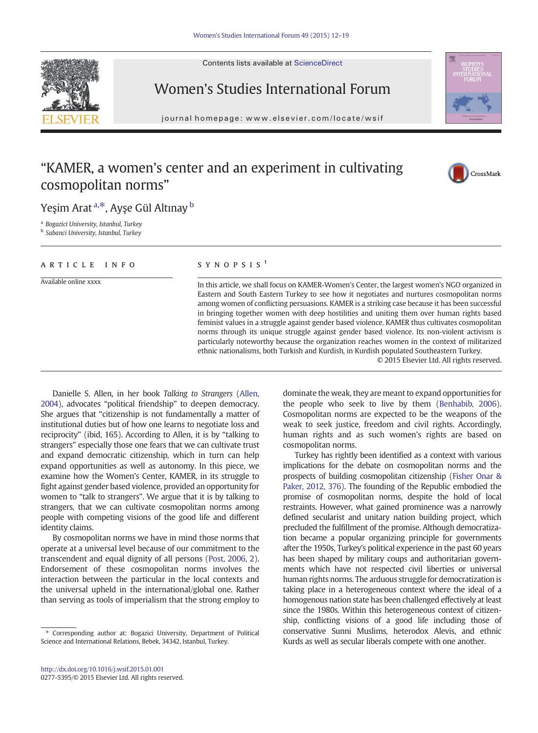Contents lists available at ScienceDirect





# Women's Studies International Forum

journal homepage: www.elsevier.com/locate/wsifer.com/locate/wsifer.com/locate/wsifer.com/locate/wsifer.com/locate/wsifer.com/locate/wsifer.com/locate/wsifer.com/locate/wsifer.com/locate/wsifer.com/locate/wsifer.com/locate

# "KAMER, a women's center and an experiment in cultivating cosmopolitan norms"



Yeşim Arat <sup>a,\*</sup>, Ayşe Gül Altınay <sup>b</sup>

<sup>a</sup> Bogazici University, Istanbul, Turkey

**b** Sabanci University, Istanbul, Turkey

## ARTICLE INFO SYNOPSIS<sup>1</sup>

Available online xxxx In this article, we shall focus on KAMER-Women's Center, the largest women's NGO organized in Eastern and South Eastern Turkey to see how it negotiates and nurtures cosmopolitan norms among women of conflicting persuasions. KAMER is a striking case because it has been successful in bringing together women with deep hostilities and uniting them over human rights based feminist values in a struggle against gender based violence. KAMER thus cultivates cosmopolitan norms through its unique struggle against gender based violence. Its non-violent activism is particularly noteworthy because the organization reaches women in the context of militarized ethnic nationalisms, both Turkish and Kurdish, in Kurdish populated Southeastern Turkey.

© 2015 Elsevier Ltd. All rights reserved.

Danielle S. Allen, in her book Talking to Strangers ([Allen,](#page-7-0) [2004\)](#page-7-0), advocates "political friendship" to deepen democracy. She argues that "citizenship is not fundamentally a matter of institutional duties but of how one learns to negotiate loss and reciprocity" (ibid, 165). According to Allen, it is by "talking to strangers" especially those one fears that we can cultivate trust and expand democratic citizenship, which in turn can help expand opportunities as well as autonomy. In this piece, we examine how the Women's Center, KAMER, in its struggle to fight against gender based violence, provided an opportunity for women to "talk to strangers". We argue that it is by talking to strangers, that we can cultivate cosmopolitan norms among people with competing visions of the good life and different identity claims.

By cosmopolitan norms we have in mind those norms that operate at a universal level because of our commitment to the transcendent and equal dignity of all persons [\(Post, 2006, 2](#page-7-0)). Endorsement of these cosmopolitan norms involves the interaction between the particular in the local contexts and the universal upheld in the international/global one. Rather than serving as tools of imperialism that the strong employ to dominate the weak, they are meant to expand opportunities for the people who seek to live by them ([Benhabib, 2006](#page-7-0)). Cosmopolitan norms are expected to be the weapons of the weak to seek justice, freedom and civil rights. Accordingly, human rights and as such women's rights are based on cosmopolitan norms.

Turkey has rightly been identified as a context with various implications for the debate on cosmopolitan norms and the prospects of building cosmopolitan citizenship ([Fisher Onar &](#page-7-0) [Paker, 2012, 376\)](#page-7-0). The founding of the Republic embodied the promise of cosmopolitan norms, despite the hold of local restraints. However, what gained prominence was a narrowly defined secularist and unitary nation building project, which precluded the fulfillment of the promise. Although democratization became a popular organizing principle for governments after the 1950s, Turkey's political experience in the past 60 years has been shaped by military coups and authoritarian governments which have not respected civil liberties or universal human rights norms. The arduous struggle for democratization is taking place in a heterogeneous context where the ideal of a homogenous nation state has been challenged effectively at least since the 1980s. Within this heterogeneous context of citizenship, conflicting visions of a good life including those of conservative Sunni Muslims, heterodox Alevis, and ethnic Kurds as well as secular liberals compete with one another.

 $*$  Corresponding author at: Bogazici University, Department of Political Science and International Relations, Bebek, 34342, Istanbul, Turkey.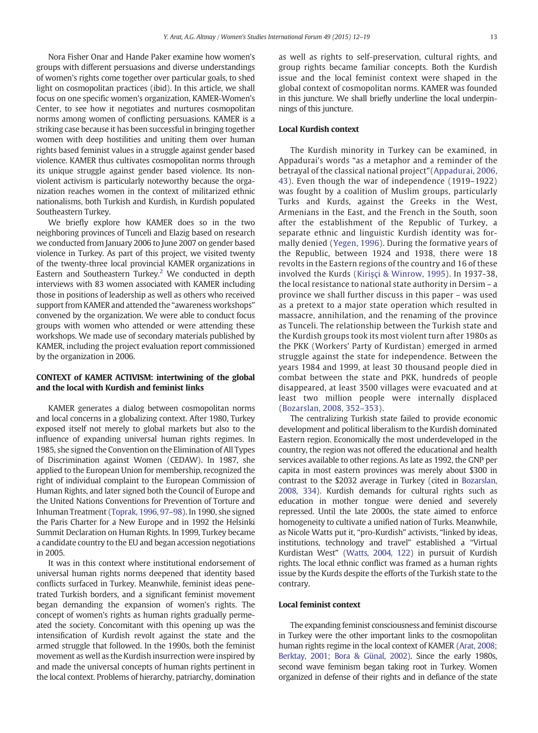Nora Fisher Onar and Hande Paker examine how women's groups with different persuasions and diverse understandings of women's rights come together over particular goals, to shed light on cosmopolitan practices (ibid). In this article, we shall focus on one specific women's organization, KAMER-Women's Center, to see how it negotiates and nurtures cosmopolitan norms among women of conflicting persuasions. KAMER is a striking case because it has been successful in bringing together women with deep hostilities and uniting them over human rights based feminist values in a struggle against gender based violence. KAMER thus cultivates cosmopolitan norms through its unique struggle against gender based violence. Its nonviolent activism is particularly noteworthy because the organization reaches women in the context of militarized ethnic nationalisms, both Turkish and Kurdish, in Kurdish populated Southeastern Turkey.

We briefly explore how KAMER does so in the two neighboring provinces of Tunceli and Elazig based on research we conducted from January 2006 to June 2007 on gender based violence in Turkey. As part of this project, we visited twenty of the twenty-three local provincial KAMER organizations in Eastern and Southeastern Turkey.<sup>2</sup> We conducted in depth interviews with 83 women associated with KAMER including those in positions of leadership as well as others who received support from KAMER and attended the "awareness workshops" convened by the organization. We were able to conduct focus groups with women who attended or were attending these workshops. We made use of secondary materials published by KAMER, including the project evaluation report commissioned by the organization in 2006.

### CONTEXT of KAMER ACTIVISM: intertwining of the global and the local with Kurdish and feminist links

KAMER generates a dialog between cosmopolitan norms and local concerns in a globalizing context. After 1980, Turkey exposed itself not merely to global markets but also to the influence of expanding universal human rights regimes. In 1985, she signed the Convention on the Elimination of All Types of Discrimination against Women (CEDAW). In 1987, she applied to the European Union for membership, recognized the right of individual complaint to the European Commission of Human Rights, and later signed both the Council of Europe and the United Nations Conventions for Prevention of Torture and Inhuman Treatment ([Toprak, 1996, 97](#page-7-0)–98). In 1990, she signed the Paris Charter for a New Europe and in 1992 the Helsinki Summit Declaration on Human Rights. In 1999, Turkey became a candidate country to the EU and began accession negotiations in 2005.

It was in this context where institutional endorsement of universal human rights norms deepened that identity based conflicts surfaced in Turkey. Meanwhile, feminist ideas penetrated Turkish borders, and a significant feminist movement began demanding the expansion of women's rights. The concept of women's rights as human rights gradually permeated the society. Concomitant with this opening up was the intensification of Kurdish revolt against the state and the armed struggle that followed. In the 1990s, both the feminist movement as well as the Kurdish insurrection were inspired by and made the universal concepts of human rights pertinent in the local context. Problems of hierarchy, patriarchy, domination as well as rights to self-preservation, cultural rights, and group rights became familiar concepts. Both the Kurdish issue and the local feminist context were shaped in the global context of cosmopolitan norms. KAMER was founded in this juncture. We shall briefly underline the local underpinnings of this juncture.

## Local Kurdish context

The Kurdish minority in Turkey can be examined, in Appadurai's words "as a metaphor and a reminder of the betrayal of the classical national project"([Appadurai, 2006,](#page-7-0) [43](#page-7-0)). Even though the war of independence (1919–1922) was fought by a coalition of Muslim groups, particularly Turks and Kurds, against the Greeks in the West, Armenians in the East, and the French in the South, soon after the establishment of the Republic of Turkey, a separate ethnic and linguistic Kurdish identity was formally denied [\(Yegen, 1996\)](#page-7-0). During the formative years of the Republic, between 1924 and 1938, there were 18 revolts in the Eastern regions of the country and 16 of these involved the Kurds (Kiriş[çi & Winrow, 1995\)](#page-7-0). In 1937-38, the local resistance to national state authority in Dersim – a province we shall further discuss in this paper – was used as a pretext to a major state operation which resulted in massacre, annihilation, and the renaming of the province as Tunceli. The relationship between the Turkish state and the Kurdish groups took its most violent turn after 1980s as the PKK (Workers' Party of Kurdistan) emerged in armed struggle against the state for independence. Between the years 1984 and 1999, at least 30 thousand people died in combat between the state and PKK, hundreds of people disappeared, at least 3500 villages were evacuated and at least two million people were internally displaced ([Bozarslan, 2008, 352](#page-7-0)–353).

The centralizing Turkish state failed to provide economic development and political liberalism to the Kurdish dominated Eastern region. Economically the most underdeveloped in the country, the region was not offered the educational and health services available to other regions. As late as 1992, the GNP per capita in most eastern provinces was merely about \$300 in contrast to the \$2032 average in Turkey (cited in [Bozarslan,](#page-7-0) [2008, 334](#page-7-0)). Kurdish demands for cultural rights such as education in mother tongue were denied and severely repressed. Until the late 2000s, the state aimed to enforce homogeneity to cultivate a unified nation of Turks. Meanwhile, as Nicole Watts put it, "pro-Kurdish" activists, "linked by ideas, institutions, technology and travel" established a "Virtual Kurdistan West" [\(Watts, 2004, 122](#page-7-0)) in pursuit of Kurdish rights. The local ethnic conflict was framed as a human rights issue by the Kurds despite the efforts of the Turkish state to the contrary.

### Local feminist context

The expanding feminist consciousness and feminist discourse in Turkey were the other important links to the cosmopolitan human rights regime in the local context of KAMER ([Arat, 2008;](#page-7-0) [Berktay, 2001; Bora & Günal, 2002\)](#page-7-0). Since the early 1980s, second wave feminism began taking root in Turkey. Women organized in defense of their rights and in defiance of the state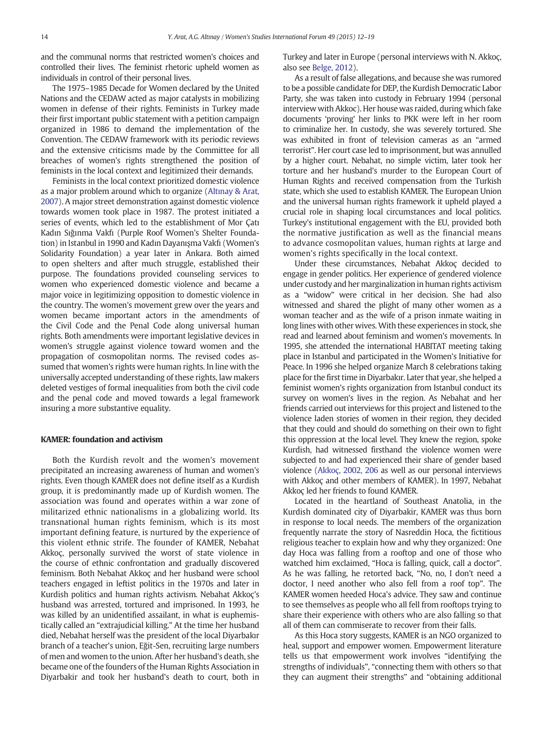and the communal norms that restricted women's choices and controlled their lives. The feminist rhetoric upheld women as individuals in control of their personal lives.

The 1975–1985 Decade for Women declared by the United Nations and the CEDAW acted as major catalysts in mobilizing women in defense of their rights. Feminists in Turkey made their first important public statement with a petition campaign organized in 1986 to demand the implementation of the Convention. The CEDAW framework with its periodic reviews and the extensive criticisms made by the Committee for all breaches of women's rights strengthened the position of feminists in the local context and legitimized their demands.

Feminists in the local context prioritized domestic violence as a major problem around which to organize (Altı[nay & Arat,](#page-7-0) [2007](#page-7-0)). A major street demonstration against domestic violence towards women took place in 1987. The protest initiated a series of events, which led to the establishment of Mor Çatı Kadın Sığınma Vakfı (Purple Roof Women's Shelter Foundation) in Istanbul in 1990 and Kadın Dayanışma Vakfı (Women's Solidarity Foundation) a year later in Ankara. Both aimed to open shelters and after much struggle, established their purpose. The foundations provided counseling services to women who experienced domestic violence and became a major voice in legitimizing opposition to domestic violence in the country. The women's movement grew over the years and women became important actors in the amendments of the Civil Code and the Penal Code along universal human rights. Both amendments were important legislative devices in women's struggle against violence toward women and the propagation of cosmopolitan norms. The revised codes assumed that women's rights were human rights. In line with the universally accepted understanding of these rights, law makers deleted vestiges of formal inequalities from both the civil code and the penal code and moved towards a legal framework insuring a more substantive equality.

# KAMER: foundation and activism

Both the Kurdish revolt and the women's movement precipitated an increasing awareness of human and women's rights. Even though KAMER does not define itself as a Kurdish group, it is predominantly made up of Kurdish women. The association was found and operates within a war zone of militarized ethnic nationalisms in a globalizing world. Its transnational human rights feminism, which is its most important defining feature, is nurtured by the experience of this violent ethnic strife. The founder of KAMER, Nebahat Akkoç, personally survived the worst of state violence in the course of ethnic confrontation and gradually discovered feminism. Both Nebahat Akkoç and her husband were school teachers engaged in leftist politics in the 1970s and later in Kurdish politics and human rights activism. Nebahat Akkoç's husband was arrested, tortured and imprisoned. In 1993, he was killed by an unidentified assailant, in what is euphemistically called an "extrajudicial killing." At the time her husband died, Nebahat herself was the president of the local Diyarbakır branch of a teacher's union, Eğit-Sen, recruiting large numbers of men and women to the union. After her husband's death, she became one of the founders of the Human Rights Association in Diyarbakir and took her husband's death to court, both in Turkey and later in Europe (personal interviews with N. Akkoç, also see [Belge, 2012\)](#page-7-0).

As a result of false allegations, and because she was rumored to be a possible candidate for DEP, the Kurdish Democratic Labor Party, she was taken into custody in February 1994 (personal interview with Akkoc). Her house was raided, during which fake documents 'proving' her links to PKK were left in her room to criminalize her. In custody, she was severely tortured. She was exhibited in front of television cameras as an "armed terrorist". Her court case led to imprisonment, but was annulled by a higher court. Nebahat, no simple victim, later took her torture and her husband's murder to the European Court of Human Rights and received compensation from the Turkish state, which she used to establish KAMER. The European Union and the universal human rights framework it upheld played a crucial role in shaping local circumstances and local politics. Turkey's institutional engagement with the EU, provided both the normative justification as well as the financial means to advance cosmopolitan values, human rights at large and women's rights specifically in the local context.

Under these circumstances, Nebahat Akkoç decided to engage in gender politics. Her experience of gendered violence under custody and her marginalization in human rights activism as a "widow" were critical in her decision. She had also witnessed and shared the plight of many other women as a woman teacher and as the wife of a prison inmate waiting in long lines with other wives. With these experiences in stock, she read and learned about feminism and women's movements. In 1995, she attended the international HABITAT meeting taking place in Istanbul and participated in the Women's Initiative for Peace. In 1996 she helped organize March 8 celebrations taking place for the first time in Diyarbakır. Later that year, she helped a feminist women's rights organization from Istanbul conduct its survey on women's lives in the region. As Nebahat and her friends carried out interviews for this project and listened to the violence laden stories of women in their region, they decided that they could and should do something on their own to fight this oppression at the local level. They knew the region, spoke Kurdish, had witnessed firsthand the violence women were subjected to and had experienced their share of gender based violence [\(Akkoç, 2002, 206](#page-7-0) as well as our personal interviews with Akkoç and other members of KAMER). In 1997, Nebahat Akkoç led her friends to found KAMER.

Located in the heartland of Southeast Anatolia, in the Kurdish dominated city of Diyarbakir, KAMER was thus born in response to local needs. The members of the organization frequently narrate the story of Nasreddin Hoca, the fictitious religious teacher to explain how and why they organized: One day Hoca was falling from a rooftop and one of those who watched him exclaimed, "Hoca is falling, quick, call a doctor". As he was falling, he retorted back, "No, no, I don't need a doctor, I need another who also fell from a roof top". The KAMER women heeded Hoca's advice. They saw and continue to see themselves as people who all fell from rooftops trying to share their experience with others who are also falling so that all of them can commiserate to recover from their falls.

As this Hoca story suggests, KAMER is an NGO organized to heal, support and empower women. Empowerment literature tells us that empowerment work involves "identifying the strengths of individuals", "connecting them with others so that they can augment their strengths" and "obtaining additional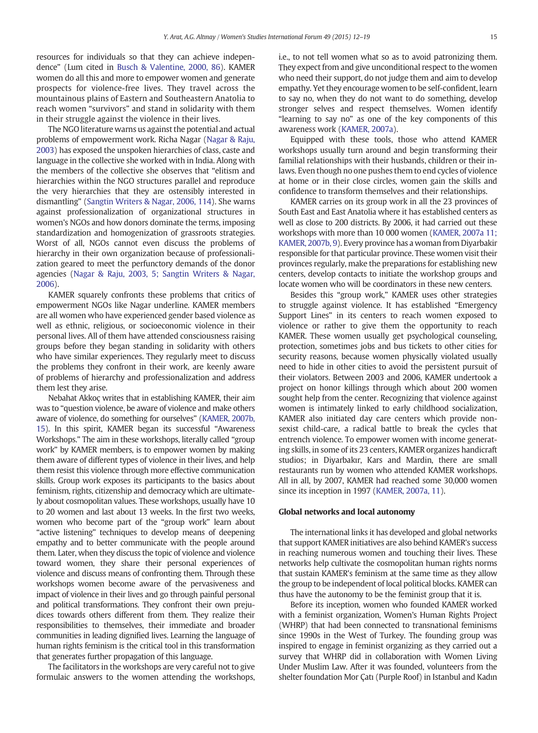resources for individuals so that they can achieve independence" (Lum cited in [Busch & Valentine, 2000, 86\)](#page-7-0). KAMER women do all this and more to empower women and generate prospects for violence-free lives. They travel across the mountainous plains of Eastern and Southeastern Anatolia to reach women "survivors" and stand in solidarity with them in their struggle against the violence in their lives.

The NGO literature warns us against the potential and actual problems of empowerment work. Richa Nagar [\(Nagar & Raju,](#page-7-0) [2003\)](#page-7-0) has exposed the unspoken hierarchies of class, caste and language in the collective she worked with in India. Along with the members of the collective she observes that "elitism and hierarchies within the NGO structures parallel and reproduce the very hierarchies that they are ostensibly interested in dismantling" [\(Sangtin Writers & Nagar, 2006, 114\)](#page-7-0). She warns against professionalization of organizational structures in women's NGOs and how donors dominate the terms, imposing standardization and homogenization of grassroots strategies. Worst of all, NGOs cannot even discuss the problems of hierarchy in their own organization because of professionalization geared to meet the perfunctory demands of the donor agencies [\(Nagar & Raju, 2003, 5; Sangtin Writers & Nagar,](#page-7-0) [2006\)](#page-7-0).

KAMER squarely confronts these problems that critics of empowerment NGOs like Nagar underline. KAMER members are all women who have experienced gender based violence as well as ethnic, religious, or socioeconomic violence in their personal lives. All of them have attended consciousness raising groups before they began standing in solidarity with others who have similar experiences. They regularly meet to discuss the problems they confront in their work, are keenly aware of problems of hierarchy and professionalization and address them lest they arise.

Nebahat Akkoç writes that in establishing KAMER, their aim was to "question violence, be aware of violence and make others aware of violence, do something for ourselves" ([KAMER, 2007b,](#page-7-0) [15\)](#page-7-0). In this spirit, KAMER began its successful "Awareness Workshops." The aim in these workshops, literally called "group work" by KAMER members, is to empower women by making them aware of different types of violence in their lives, and help them resist this violence through more effective communication skills. Group work exposes its participants to the basics about feminism, rights, citizenship and democracy which are ultimately about cosmopolitan values. These workshops, usually have 10 to 20 women and last about 13 weeks. In the first two weeks, women who become part of the "group work" learn about "active listening" techniques to develop means of deepening empathy and to better communicate with the people around them. Later, when they discuss the topic of violence and violence toward women, they share their personal experiences of violence and discuss means of confronting them. Through these workshops women become aware of the pervasiveness and impact of violence in their lives and go through painful personal and political transformations. They confront their own prejudices towards others different from them. They realize their responsibilities to themselves, their immediate and broader communities in leading dignified lives. Learning the language of human rights feminism is the critical tool in this transformation that generates further propagation of this language.

The facilitators in the workshops are very careful not to give formulaic answers to the women attending the workshops,

i.e., to not tell women what so as to avoid patronizing them. They expect from and give unconditional respect to the women who need their support, do not judge them and aim to develop empathy. Yet they encourage women to be self-confident, learn to say no, when they do not want to do something, develop stronger selves and respect themselves. Women identify "learning to say no" as one of the key components of this awareness work [\(KAMER, 2007a\)](#page-7-0).

Equipped with these tools, those who attend KAMER workshops usually turn around and begin transforming their familial relationships with their husbands, children or their inlaws. Even though no one pushes them to end cycles of violence at home or in their close circles, women gain the skills and confidence to transform themselves and their relationships.

KAMER carries on its group work in all the 23 provinces of South East and East Anatolia where it has established centers as well as close to 200 districts. By 2006, it had carried out these workshops with more than 10 000 women ([KAMER, 2007a 11;](#page-7-0) [KAMER, 2007b, 9](#page-7-0)). Every province has a woman from Diyarbakir responsible for that particular province. These women visit their provinces regularly, make the preparations for establishing new centers, develop contacts to initiate the workshop groups and locate women who will be coordinators in these new centers.

Besides this "group work," KAMER uses other strategies to struggle against violence. It has established "Emergency Support Lines" in its centers to reach women exposed to violence or rather to give them the opportunity to reach KAMER. These women usually get psychological counseling, protection, sometimes jobs and bus tickets to other cities for security reasons, because women physically violated usually need to hide in other cities to avoid the persistent pursuit of their violators. Between 2003 and 2006, KAMER undertook a project on honor killings through which about 200 women sought help from the center. Recognizing that violence against women is intimately linked to early childhood socialization, KAMER also initiated day care centers which provide nonsexist child-care, a radical battle to break the cycles that entrench violence. To empower women with income generating skills, in some of its 23 centers, KAMER organizes handicraft studios; in Diyarbakır, Kars and Mardin, there are small restaurants run by women who attended KAMER workshops. All in all, by 2007, KAMER had reached some 30,000 women since its inception in 1997 ([KAMER, 2007a, 11\)](#page-7-0).

#### Global networks and local autonomy

The international links it has developed and global networks that support KAMER initiatives are also behind KAMER's success in reaching numerous women and touching their lives. These networks help cultivate the cosmopolitan human rights norms that sustain KAMER's feminism at the same time as they allow the group to be independent of local political blocks. KAMER can thus have the autonomy to be the feminist group that it is.

Before its inception, women who founded KAMER worked with a feminist organization, Women's Human Rights Project (WHRP) that had been connected to transnational feminisms since 1990s in the West of Turkey. The founding group was inspired to engage in feminist organizing as they carried out a survey that WHRP did in collaboration with Women Living Under Muslim Law. After it was founded, volunteers from the shelter foundation Mor Çatı (Purple Roof) in Istanbul and Kadın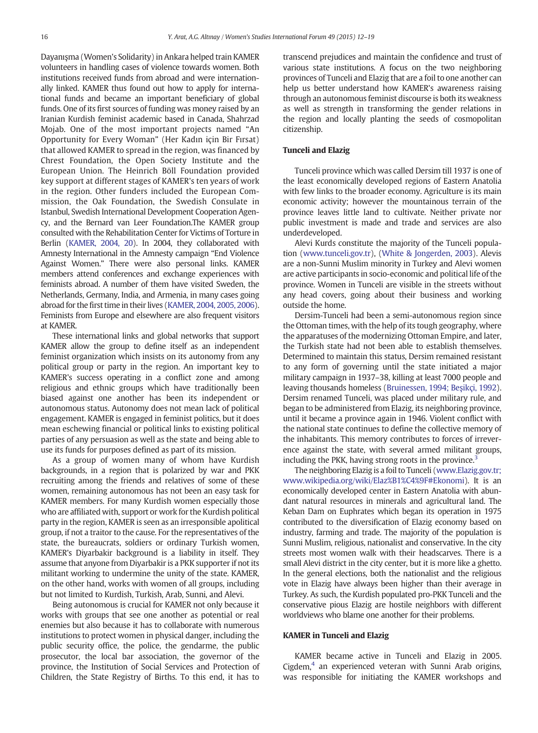Dayanışma (Women's Solidarity) in Ankara helped train KAMER volunteers in handling cases of violence towards women. Both institutions received funds from abroad and were internationally linked. KAMER thus found out how to apply for international funds and became an important beneficiary of global funds. One of its first sources of funding was money raised by an Iranian Kurdish feminist academic based in Canada, Shahrzad Mojab. One of the most important projects named "An Opportunity for Every Woman" (Her Kadın için Bir Fırsat) that allowed KAMER to spread in the region, was financed by Chrest Foundation, the Open Society Institute and the European Union. The Heinrich Böll Foundation provided key support at different stages of KAMER's ten years of work in the region. Other funders included the European Commission, the Oak Foundation, the Swedish Consulate in Istanbul, Swedish International Development Cooperation Agency, and the Bernard van Leer Foundation.The KAMER group consulted with the Rehabilitation Center for Victims of Torture in Berlin ([KAMER, 2004, 20](#page-7-0)). In 2004, they collaborated with Amnesty International in the Amnesty campaign "End Violence Against Women." There were also personal links. KAMER members attend conferences and exchange experiences with feminists abroad. A number of them have visited Sweden, the Netherlands, Germany, India, and Armenia, in many cases going abroad for the first time in their lives ([KAMER, 2004, 2005, 2006](#page-7-0)). Feminists from Europe and elsewhere are also frequent visitors at KAMER.

These international links and global networks that support KAMER allow the group to define itself as an independent feminist organization which insists on its autonomy from any political group or party in the region. An important key to KAMER's success operating in a conflict zone and among religious and ethnic groups which have traditionally been biased against one another has been its independent or autonomous status. Autonomy does not mean lack of political engagement. KAMER is engaged in feminist politics, but it does mean eschewing financial or political links to existing political parties of any persuasion as well as the state and being able to use its funds for purposes defined as part of its mission.

As a group of women many of whom have Kurdish backgrounds, in a region that is polarized by war and PKK recruiting among the friends and relatives of some of these women, remaining autonomous has not been an easy task for KAMER members. For many Kurdish women especially those who are affiliated with, support or work for the Kurdish political party in the region, KAMER is seen as an irresponsible apolitical group, if not a traitor to the cause. For the representatives of the state, the bureaucrats, soldiers or ordinary Turkish women, KAMER's Diyarbakir background is a liability in itself. They assume that anyone from Diyarbakir is a PKK supporter if not its militant working to undermine the unity of the state. KAMER, on the other hand, works with women of all groups, including but not limited to Kurdish, Turkish, Arab, Sunni, and Alevi.

Being autonomous is crucial for KAMER not only because it works with groups that see one another as potential or real enemies but also because it has to collaborate with numerous institutions to protect women in physical danger, including the public security office, the police, the gendarme, the public prosecutor, the local bar association, the governor of the province, the Institution of Social Services and Protection of Children, the State Registry of Births. To this end, it has to transcend prejudices and maintain the confidence and trust of various state institutions. A focus on the two neighboring provinces of Tunceli and Elazig that are a foil to one another can help us better understand how KAMER's awareness raising through an autonomous feminist discourse is both its weakness as well as strength in transforming the gender relations in the region and locally planting the seeds of cosmopolitan citizenship.

#### Tunceli and Elazig

Tunceli province which was called Dersim till 1937 is one of the least economically developed regions of Eastern Anatolia with few links to the broader economy. Agriculture is its main economic activity; however the mountainous terrain of the province leaves little land to cultivate. Neither private nor public investment is made and trade and services are also underdeveloped.

Alevi Kurds constitute the majority of the Tunceli population ([www.tunceli.gov.tr\)](#page-7-0), [\(White & Jongerden, 2003](#page-7-0)). Alevis are a non-Sunni Muslim minority in Turkey and Alevi women are active participants in socio-economic and political life of the province. Women in Tunceli are visible in the streets without any head covers, going about their business and working outside the home.

Dersim-Tunceli had been a semi-autonomous region since the Ottoman times, with the help of its tough geography, where the apparatuses of the modernizing Ottoman Empire, and later, the Turkish state had not been able to establish themselves. Determined to maintain this status, Dersim remained resistant to any form of governing until the state initiated a major military campaign in 1937–38, killing at least 7000 people and leaving thousands homeless [\(Bruinessen, 1994; Be](#page-7-0)şikçi, 1992). Dersim renamed Tunceli, was placed under military rule, and began to be administered from Elazig, its neighboring province, until it became a province again in 1946. Violent conflict with the national state continues to define the collective memory of the inhabitants. This memory contributes to forces of irreverence against the state, with several armed militant groups, including the PKK, having strong roots in the province.<sup>3</sup>

The neighboring Elazig is a foil to Tunceli [\(www.Elazig.gov.tr;](#page-7-0) [www.wikipedia.org/wiki/Elaz%B1%C4%9F#Ekonomi\)](#page-7-0). It is an economically developed center in Eastern Anatolia with abundant natural resources in minerals and agricultural land. The Keban Dam on Euphrates which began its operation in 1975 contributed to the diversification of Elazig economy based on industry, farming and trade. The majority of the population is Sunni Muslim, religious, nationalist and conservative. In the city streets most women walk with their headscarves. There is a small Alevi district in the city center, but it is more like a ghetto. In the general elections, both the nationalist and the religious vote in Elazig have always been higher than their average in Turkey. As such, the Kurdish populated pro-PKK Tunceli and the conservative pious Elazig are hostile neighbors with different worldviews who blame one another for their problems.

#### KAMER in Tunceli and Elazig

KAMER became active in Tunceli and Elazig in 2005. Cigdem, $4$  an experienced veteran with Sunni Arab origins, was responsible for initiating the KAMER workshops and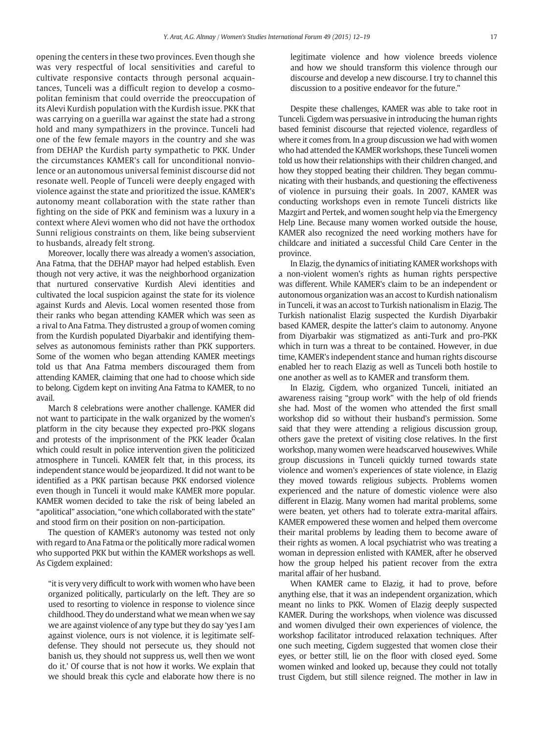opening the centers in these two provinces. Even though she was very respectful of local sensitivities and careful to cultivate responsive contacts through personal acquaintances, Tunceli was a difficult region to develop a cosmopolitan feminism that could override the preoccupation of its Alevi Kurdish population with the Kurdish issue. PKK that was carrying on a guerilla war against the state had a strong hold and many sympathizers in the province. Tunceli had one of the few female mayors in the country and she was from DEHAP the Kurdish party sympathetic to PKK. Under the circumstances KAMER's call for unconditional nonviolence or an autonomous universal feminist discourse did not resonate well. People of Tunceli were deeply engaged with violence against the state and prioritized the issue. KAMER's autonomy meant collaboration with the state rather than fighting on the side of PKK and feminism was a luxury in a context where Alevi women who did not have the orthodox Sunni religious constraints on them, like being subservient to husbands, already felt strong.

Moreover, locally there was already a women's association, Ana Fatma, that the DEHAP mayor had helped establish. Even though not very active, it was the neighborhood organization that nurtured conservative Kurdish Alevi identities and cultivated the local suspicion against the state for its violence against Kurds and Alevis. Local women resented those from their ranks who began attending KAMER which was seen as a rival to Ana Fatma. They distrusted a group of women coming from the Kurdish populated Diyarbakir and identifying themselves as autonomous feminists rather than PKK supporters. Some of the women who began attending KAMER meetings told us that Ana Fatma members discouraged them from attending KAMER, claiming that one had to choose which side to belong. Cigdem kept on inviting Ana Fatma to KAMER, to no avail.

March 8 celebrations were another challenge. KAMER did not want to participate in the walk organized by the women's platform in the city because they expected pro-PKK slogans and protests of the imprisonment of the PKK leader Öcalan which could result in police intervention given the politicized atmosphere in Tunceli. KAMER felt that, in this process, its independent stance would be jeopardized. It did not want to be identified as a PKK partisan because PKK endorsed violence even though in Tunceli it would make KAMER more popular. KAMER women decided to take the risk of being labeled an "apolitical" association, "one which collaborated with the state" and stood firm on their position on non-participation.

The question of KAMER's autonomy was tested not only with regard to Ana Fatma or the politically more radical women who supported PKK but within the KAMER workshops as well. As Cigdem explained:

"it is very very difficult to work with women who have been organized politically, particularly on the left. They are so used to resorting to violence in response to violence since childhood. They do understand what we mean when we say we are against violence of any type but they do say 'yes I am against violence, ours is not violence, it is legitimate selfdefense. They should not persecute us, they should not banish us, they should not suppress us, well then we wont do it.' Of course that is not how it works. We explain that we should break this cycle and elaborate how there is no legitimate violence and how violence breeds violence and how we should transform this violence through our discourse and develop a new discourse. I try to channel this discussion to a positive endeavor for the future."

Despite these challenges, KAMER was able to take root in Tunceli. Cigdem was persuasive in introducing the human rights based feminist discourse that rejected violence, regardless of where it comes from. In a group discussion we had with women who had attended the KAMER workshops, these Tunceli women told us how their relationships with their children changed, and how they stopped beating their children. They began communicating with their husbands, and questioning the effectiveness of violence in pursuing their goals. In 2007, KAMER was conducting workshops even in remote Tunceli districts like Mazgirt and Pertek, and women sought help via the Emergency Help Line. Because many women worked outside the house, KAMER also recognized the need working mothers have for childcare and initiated a successful Child Care Center in the province.

In Elazig, the dynamics of initiating KAMER workshops with a non-violent women's rights as human rights perspective was different. While KAMER's claim to be an independent or autonomous organization was an accost to Kurdish nationalism in Tunceli, it was an accost to Turkish nationalism in Elazig. The Turkish nationalist Elazig suspected the Kurdish Diyarbakir based KAMER, despite the latter's claim to autonomy. Anyone from Diyarbakir was stigmatized as anti-Turk and pro-PKK which in turn was a threat to be contained. However, in due time, KAMER's independent stance and human rights discourse enabled her to reach Elazig as well as Tunceli both hostile to one another as well as to KAMER and transform them.

In Elazig, Cigdem, who organized Tunceli, initiated an awareness raising "group work" with the help of old friends she had. Most of the women who attended the first small workshop did so without their husband's permission. Some said that they were attending a religious discussion group, others gave the pretext of visiting close relatives. In the first workshop, many women were headscarved housewives. While group discussions in Tunceli quickly turned towards state violence and women's experiences of state violence, in Elazig they moved towards religious subjects. Problems women experienced and the nature of domestic violence were also different in Elazig. Many women had marital problems, some were beaten, yet others had to tolerate extra-marital affairs. KAMER empowered these women and helped them overcome their marital problems by leading them to become aware of their rights as women. A local psychiatrist who was treating a woman in depression enlisted with KAMER, after he observed how the group helped his patient recover from the extra marital affair of her husband.

When KAMER came to Elazig, it had to prove, before anything else, that it was an independent organization, which meant no links to PKK. Women of Elazig deeply suspected KAMER. During the workshops, when violence was discussed and women divulged their own experiences of violence, the workshop facilitator introduced relaxation techniques. After one such meeting, Cigdem suggested that women close their eyes, or better still, lie on the floor with closed eyed. Some women winked and looked up, because they could not totally trust Cigdem, but still silence reigned. The mother in law in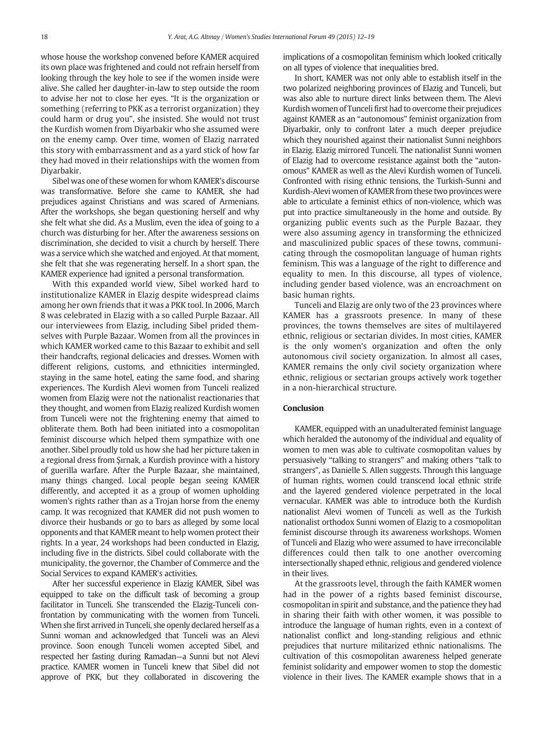whose house the workshop convened before KAMER acquired its own place was frightened and could not refrain herself from looking through the key hole to see if the women inside were alive. She called her daughter-in-law to step outside the room to advise her not to close her eyes. "It is the organization or something (referring to PKK as a terrorist organization) they could harm or drug you", she insisted. She would not trust the Kurdish women from Diyarbakir who she assumed were on the enemy camp. Over time, women of Elazig narrated this story with embarrassment and as a yard stick of how far they had moved in their relationships with the women from Diyarbakir.

Sibel was one of these women for whom KAMER's discourse was transformative. Before she came to KAMER, she had prejudices against Christians and was scared of Armenians. After the workshops, she began questioning herself and why she felt what she did. As a Muslim, even the idea of going to a church was disturbing for her. After the awareness sessions on discrimination, she decided to visit a church by herself. There was a service which she watched and enjoyed. At that moment, she felt that she was regenerating herself. In a short span, the KAMER experience had ignited a personal transformation.

With this expanded world view, Sibel worked hard to institutionalize KAMER in Elazig despite widespread claims among her own friends that it was a PKK tool. In 2006, March 8 was celebrated in Elazig with a so called Purple Bazaar. All our interviewees from Elazig, including Sibel prided themselves with Purple Bazaar. Women from all the provinces in which KAMER worked came to this Bazaar to exhibit and sell their handcrafts, regional delicacies and dresses. Women with different religions, customs, and ethnicities intermingled, staying in the same hotel, eating the same food, and sharing experiences. The Kurdish Alevi women from Tunceli realized women from Elazig were not the nationalist reactionaries that they thought, and women from Elazig realized Kurdish women from Tunceli were not the frightening enemy that aimed to obliterate them. Both had been initiated into a cosmopolitan feminist discourse which helped them sympathize with one another. Sibel proudly told us how she had her picture taken in a regional dress from Şırnak, a Kurdish province with a history of guerilla warfare. After the Purple Bazaar, she maintained, many things changed. Local people began seeing KAMER differently, and accepted it as a group of women upholding women's rights rather than as a Trojan horse from the enemy camp. It was recognized that KAMER did not push women to divorce their husbands or go to bars as alleged by some local opponents and that KAMER meant to help women protect their rights. In a year, 24 workshops had been conducted in Elazig, including five in the districts. Sibel could collaborate with the municipality, the governor, the Chamber of Commerce and the Social Services to expand KAMER's activities.

After her successful experience in Elazig KAMER, Sibel was equipped to take on the difficult task of becoming a group facilitator in Tunceli. She transcended the Elazig-Tunceli confrontation by communicating with the women from Tunceli. When she first arrived in Tunceli, she openly declared herself as a Sunni woman and acknowledged that Tunceli was an Alevi province. Soon enough Tunceli women accepted Sibel, and respected her fasting during Ramadan—a Sunni but not Alevi practice. KAMER women in Tunceli knew that Sibel did not approve of PKK, but they collaborated in discovering the implications of a cosmopolitan feminism which looked critically on all types of violence that inequalities bred.

In short, KAMER was not only able to establish itself in the two polarized neighboring provinces of Elazig and Tunceli, but was also able to nurture direct links between them. The Alevi Kurdish women of Tunceli first had to overcome their prejudices against KAMER as an "autonomous" feminist organization from Diyarbakir, only to confront later a much deeper prejudice which they nourished against their nationalist Sunni neighbors in Elazig. Elazig mirrored Tunceli. The nationalist Sunni women of Elazig had to overcome resistance against both the "autonomous" KAMER as well as the Alevi Kurdish women of Tunceli. Confronted with rising ethnic tensions, the Turkish-Sunni and Kurdish-Alevi women of KAMER from these two provinces were able to articulate a feminist ethics of non-violence, which was put into practice simultaneously in the home and outside. By organizing public events such as the Purple Bazaar, they were also assuming agency in transforming the ethnicized and masculinized public spaces of these towns, communicating through the cosmopolitan language of human rights feminism. This was a language of the right to difference and equality to men. In this discourse, all types of violence, including gender based violence, was an encroachment on basic human rights.

Tunceli and Elazig are only two of the 23 provinces where KAMER has a grassroots presence. In many of these provinces, the towns themselves are sites of multilayered ethnic, religious or sectarian divides. In most cities, KAMER is the only women's organization and often the only autonomous civil society organization. In almost all cases, KAMER remains the only civil society organization where ethnic, religious or sectarian groups actively work together in a non-hierarchical structure.

### Conclusion

KAMER, equipped with an unadulterated feminist language which heralded the autonomy of the individual and equality of women to men was able to cultivate cosmopolitan values by persuasively "talking to strangers" and making others "talk to strangers", as Danielle S. Allen suggests. Through this language of human rights, women could transcend local ethnic strife and the layered gendered violence perpetrated in the local vernacular. KAMER was able to introduce both the Kurdish nationalist Alevi women of Tunceli as well as the Turkish nationalist orthodox Sunni women of Elazig to a cosmopolitan feminist discourse through its awareness workshops. Women of Tunceli and Elazig who were assumed to have irreconcilable differences could then talk to one another overcoming intersectionally shaped ethnic, religious and gendered violence in their lives.

At the grassroots level, through the faith KAMER women had in the power of a rights based feminist discourse, cosmopolitan in spirit and substance, and the patience they had in sharing their faith with other women, it was possible to introduce the language of human rights, even in a context of nationalist conflict and long-standing religious and ethnic prejudices that nurture militarized ethnic nationalisms. The cultivation of this cosmopolitan awareness helped generate feminist solidarity and empower women to stop the domestic violence in their lives. The KAMER example shows that in a